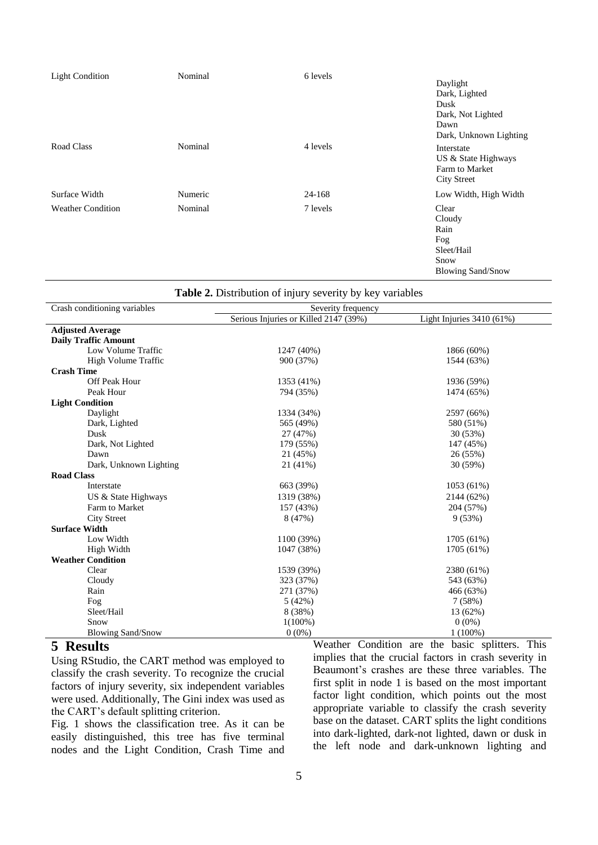| <b>Light Condition</b>   | Nominal | 6 levels | Daylight<br>Dark, Lighted<br>Dusk<br>Dark, Not Lighted<br>Dawn<br>Dark, Unknown Lighting |
|--------------------------|---------|----------|------------------------------------------------------------------------------------------|
| Road Class               | Nominal | 4 levels | Interstate<br>US & State Highways<br>Farm to Market<br><b>City Street</b>                |
| Surface Width            | Numeric | 24-168   | Low Width, High Width                                                                    |
| <b>Weather Condition</b> | Nominal | 7 levels | Clear<br>Cloudy<br>Rain<br>Fog<br>Sleet/Hail<br>Snow<br><b>Blowing Sand/Snow</b>         |

|                              | <b>Table 2.</b> Distribution of injury severity by key variables |                             |  |
|------------------------------|------------------------------------------------------------------|-----------------------------|--|
| Crash conditioning variables | Severity frequency                                               |                             |  |
|                              | Serious Injuries or Killed 2147 (39%)                            | Light Injuries $3410(61\%)$ |  |
| <b>Adjusted Average</b>      |                                                                  |                             |  |
| <b>Daily Traffic Amount</b>  |                                                                  |                             |  |
| Low Volume Traffic           | 1247 (40%)                                                       | 1866 (60%)                  |  |
| High Volume Traffic          | 900 (37%)                                                        | 1544 (63%)                  |  |
| <b>Crash Time</b>            |                                                                  |                             |  |
| <b>Off Peak Hour</b>         | 1353 (41%)                                                       | 1936 (59%)                  |  |
| Peak Hour                    | 794 (35%)                                                        | 1474 (65%)                  |  |
| <b>Light Condition</b>       |                                                                  |                             |  |
| Daylight                     | 1334 (34%)                                                       | 2597 (66%)                  |  |
| Dark, Lighted                | 565 (49%)                                                        | 580 (51%)                   |  |
| Dusk                         | 27 (47%)                                                         | 30 (53%)                    |  |
| Dark, Not Lighted            | 179 (55%)                                                        | 147 (45%)                   |  |
| Dawn                         | 21 (45%)                                                         | 26 (55%)                    |  |
| Dark, Unknown Lighting       | 21 (41%)                                                         | 30 (59%)                    |  |
| <b>Road Class</b>            |                                                                  |                             |  |
| Interstate                   | 663 (39%)                                                        | 1053 (61%)                  |  |
| US & State Highways          | 1319 (38%)                                                       | 2144 (62%)                  |  |
| Farm to Market               | 157 (43%)                                                        | 204 (57%)                   |  |
| <b>City Street</b>           | 8(47%)                                                           | 9(53%)                      |  |
| <b>Surface Width</b>         |                                                                  |                             |  |
| Low Width                    | 1100 (39%)                                                       | 1705 (61%)                  |  |
| High Width                   | 1047 (38%)                                                       | 1705 (61%)                  |  |
| <b>Weather Condition</b>     |                                                                  |                             |  |
| Clear                        | 1539 (39%)                                                       | 2380 (61%)                  |  |
| Cloudy                       | 323 (37%)                                                        | 543 (63%)                   |  |
| Rain                         | 271 (37%)                                                        | 466 (63%)                   |  |
| Fog                          | 5(42%)                                                           | 7(58%)                      |  |
| Sleet/Hail                   | 8 (38%)                                                          | 13 (62%)                    |  |
| Snow                         | $1(100\%)$                                                       | $0(0\%)$                    |  |
| <b>Blowing Sand/Snow</b>     | $0(0\%)$                                                         | $1(100\%)$                  |  |

#### **5 Results**

Using RStudio, the CART method was employed to classify the crash severity. To recognize the crucial factors of injury severity, six independent variables were used. Additionally, The Gini index was used as the CART's default splitting criterion.

Fig. 1 shows the classification tree. As it can be easily distinguished, this tree has five terminal nodes and the Light Condition, Crash Time and Weather Condition are the basic splitters. This implies that the crucial factors in crash severity in Beaumont's crashes are these three variables. The first split in node 1 is based on the most important factor light condition, which points out the most appropriate variable to classify the crash severity base on the dataset. CART splits the light conditions into dark-lighted, dark-not lighted, dawn or dusk in the left node and dark-unknown lighting and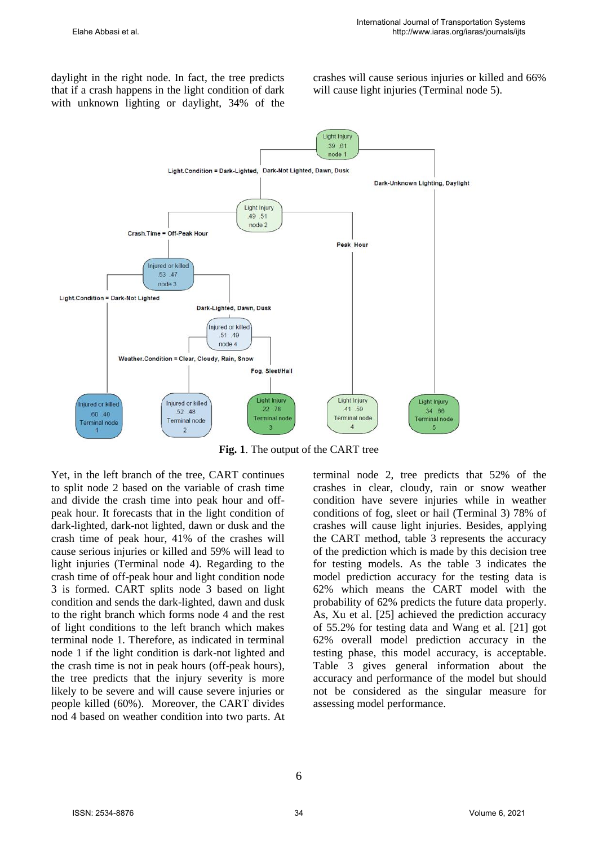daylight in the right node. In fact, the tree predicts that if a crash happens in the light condition of dark with unknown lighting or daylight, 34% of the crashes will cause serious injuries or killed and 66% will cause light injuries (Terminal node 5).



**Fig. 1**. The output of the CART tree

Yet, in the left branch of the tree, CART continues to split node 2 based on the variable of crash time and divide the crash time into peak hour and offpeak hour. It forecasts that in the light condition of dark-lighted, dark-not lighted, dawn or dusk and the crash time of peak hour, 41% of the crashes will cause serious injuries or killed and 59% will lead to light injuries (Terminal node 4). Regarding to the crash time of off-peak hour and light condition node 3 is formed. CART splits node 3 based on light condition and sends the dark-lighted, dawn and dusk to the right branch which forms node 4 and the rest of light conditions to the left branch which makes terminal node 1. Therefore, as indicated in terminal node 1 if the light condition is dark-not lighted and the crash time is not in peak hours (off-peak hours), the tree predicts that the injury severity is more likely to be severe and will cause severe injuries or people killed (60%). Moreover, the CART divides nod 4 based on weather condition into two parts. At terminal node 2, tree predicts that 52% of the crashes in clear, cloudy, rain or snow weather condition have severe injuries while in weather conditions of fog, sleet or hail (Terminal 3) 78% of crashes will cause light injuries. Besides, applying the CART method, table 3 represents the accuracy of the prediction which is made by this decision tree for testing models. As the table 3 indicates the model prediction accuracy for the testing data is 62% which means the CART model with the probability of 62% predicts the future data properly. As, Xu et al. [25] achieved the prediction accuracy of 55.2% for testing data and Wang et al. [21] got 62% overall model prediction accuracy in the testing phase, this model accuracy, is acceptable. Table 3 gives general information about the accuracy and performance of the model but should not be considered as the singular measure for assessing model performance.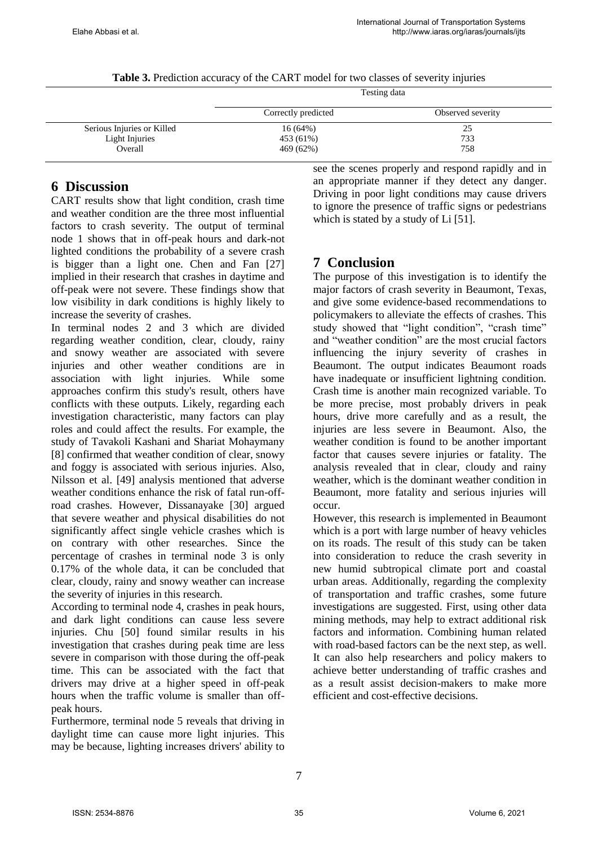**Table 3.** Prediction accuracy of the CART model for two classes of severity injuries

|                            | Testing data        |                   |  |
|----------------------------|---------------------|-------------------|--|
|                            | Correctly predicted | Observed severity |  |
| Serious Injuries or Killed | 16(64%)             | 25                |  |
| Light Injuries             | 453 (61%)           | 733               |  |
| Overall                    | 469 (62%)           | 758               |  |

### **6 Discussion**

CART results show that light condition, crash time and weather condition are the three most influential factors to crash severity. The output of terminal node 1 shows that in off-peak hours and dark-not lighted conditions the probability of a severe crash is bigger than a light one. Chen and Fan [27] implied in their research that crashes in daytime and off-peak were not severe. These findings show that low visibility in dark conditions is highly likely to increase the severity of crashes.

In terminal nodes 2 and 3 which are divided regarding weather condition, clear, cloudy, rainy and snowy weather are associated with severe injuries and other weather conditions are in association with light injuries. While some approaches confirm this study's result, others have conflicts with these outputs. Likely, regarding each investigation characteristic, many factors can play roles and could affect the results. For example, the study of Tavakoli Kashani and Shariat Mohaymany [8] confirmed that weather condition of clear, snowy and foggy is associated with serious injuries. Also, Nilsson et al. [49] analysis mentioned that adverse weather conditions enhance the risk of fatal run-offroad crashes. However, Dissanayake [30] argued that severe weather and physical disabilities do not significantly affect single vehicle crashes which is on contrary with other researches. Since the percentage of crashes in terminal node 3 is only 0.17% of the whole data, it can be concluded that clear, cloudy, rainy and snowy weather can increase the severity of injuries in this research.

According to terminal node 4, crashes in peak hours, and dark light conditions can cause less severe injuries. Chu [50] found similar results in his investigation that crashes during peak time are less severe in comparison with those during the off-peak time. This can be associated with the fact that drivers may drive at a higher speed in off-peak hours when the traffic volume is smaller than offpeak hours.

Furthermore, terminal node 5 reveals that driving in daylight time can cause more light injuries. This may be because, lighting increases drivers' ability to see the scenes properly and respond rapidly and in an appropriate manner if they detect any danger. Driving in poor light conditions may cause drivers to ignore the presence of traffic signs or pedestrians which is stated by a study of Li [51].

# **7 Conclusion**

The purpose of this investigation is to identify the major factors of crash severity in Beaumont, Texas, and give some evidence-based recommendations to policymakers to alleviate the effects of crashes. This study showed that "light condition", "crash time" and "weather condition" are the most crucial factors influencing the injury severity of crashes in Beaumont. The output indicates Beaumont roads have inadequate or insufficient lightning condition. Crash time is another main recognized variable. To be more precise, most probably drivers in peak hours, drive more carefully and as a result, the injuries are less severe in Beaumont. Also, the weather condition is found to be another important factor that causes severe injuries or fatality. The analysis revealed that in clear, cloudy and rainy weather, which is the dominant weather condition in Beaumont, more fatality and serious injuries will occur.

However, this research is implemented in Beaumont which is a port with large number of heavy vehicles on its roads. The result of this study can be taken into consideration to reduce the crash severity in new humid subtropical climate port and coastal urban areas. Additionally, regarding the complexity of transportation and traffic crashes, some future investigations are suggested. First, using other data mining methods, may help to extract additional risk factors and information. Combining human related with road-based factors can be the next step, as well. It can also help researchers and policy makers to achieve better understanding of traffic crashes and as a result assist decision-makers to make more efficient and cost-effective decisions.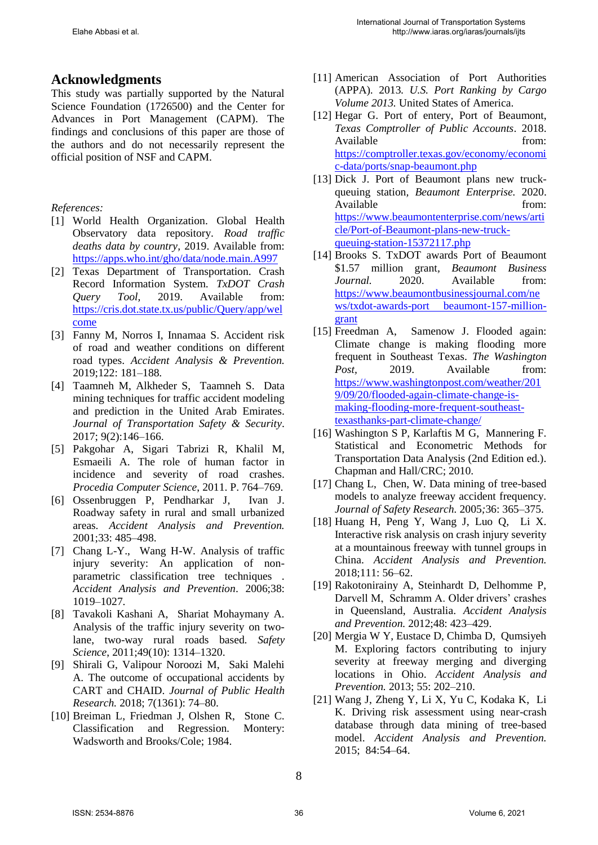## **Acknowledgments**

This study was partially supported by the Natural Science Foundation (1726500) and the Center for Advances in Port Management (CAPM). The findings and conclusions of this paper are those of the authors and do not necessarily represent the official position of NSF and CAPM.

#### *References:*

- [1] World Health Organization. Global Health Observatory data repository. *Road traffic deaths data by country,* 2019. Available from: <https://apps.who.int/gho/data/node.main.A997>
- [2] Texas Department of Transportation. Crash Record Information System. *TxDOT Crash Query Tool,* 2019. Available from: [https://cris.dot.state.tx.us/public/Query/app/wel](https://cris.dot.state.tx.us/public/Query/app/welcome) [come](https://cris.dot.state.tx.us/public/Query/app/welcome)
- [3] Fanny M, Norros I, Innamaa S. Accident risk of road and weather conditions on different road types. *Accident Analysis & Prevention.*  2019;122: 181–188.
- [4] Taamneh M, Alkheder S, Taamneh S. Data mining techniques for traffic accident modeling and prediction in the United Arab Emirates. *Journal of Transportation Safety & Security*. 2017; 9(2):146–166.
- [5] Pakgohar A, Sigari Tabrizi R, Khalil M, Esmaeili A. The role of human factor in incidence and severity of road crashes. *Procedia Computer Science*, 2011. P. 764–769.
- [6] Ossenbruggen P, Pendharkar J, Ivan J. Roadway safety in rural and small urbanized areas. *Accident Analysis and Prevention.*  2001;33: 485–498.
- [7] Chang L-Y., Wang H-W. Analysis of traffic injury severity: An application of nonparametric classification tree techniques . *Accident Analysis and Prevention*. 2006;38: 1019–1027.
- [8] Tavakoli Kashani A, Shariat Mohaymany A. Analysis of the traffic injury severity on twolane, two-way rural roads based. *Safety Science*, 2011;49(10): 1314–1320.
- [9] Shirali G, Valipour Noroozi M, Saki Malehi A. The outcome of occupational accidents by CART and CHAID. *Journal of Public Health Research.* 2018; 7(1361): 74–80.
- [10] Breiman L, Friedman J, Olshen R, Stone C. Classification and Regression*.* Montery: Wadsworth and Brooks/Cole; 1984.
- [11] American Association of Port Authorities (APPA)*.* 2013*. U.S. Port Ranking by Cargo Volume 2013.* United States of America.
- [12] Hegar G. Port of entery, Port of Beaumont, *Texas Comptroller of Public Accounts*. 2018. Available from: [https://comptroller.texas.gov/economy/economi](https://comptroller.texas.gov/economy/economic-data/ports/snap-beaumont.php) [c-data/ports/snap-beaumont.php](https://comptroller.texas.gov/economy/economic-data/ports/snap-beaumont.php)
- [13] Dick J. Port of Beaumont plans new truckqueuing station*, Beaumont Enterprise.* 2020. Available from: [https://www.beaumontenterprise.com/news/arti](https://www.beaumontenterprise.com/news/article/Port-of-Beaumont-plans-new-truck-queuing-station-15372117.php) [cle/Port-of-Beaumont-plans-new-truck](https://www.beaumontenterprise.com/news/article/Port-of-Beaumont-plans-new-truck-queuing-station-15372117.php)[queuing-station-15372117.php](https://www.beaumontenterprise.com/news/article/Port-of-Beaumont-plans-new-truck-queuing-station-15372117.php)
- [14] Brooks S. TxDOT awards Port of Beaumont \$1.57 million grant*, Beaumont Business Journal.* 2020. Available from: [https://www.beaumontbusinessjournal.com/ne](https://www.beaumontbusinessjournal.com/news/txdot-awards-port%20beaumont-157-million-grant) [ws/txdot-awards-port beaumont-157-million](https://www.beaumontbusinessjournal.com/news/txdot-awards-port%20beaumont-157-million-grant)[grant](https://www.beaumontbusinessjournal.com/news/txdot-awards-port%20beaumont-157-million-grant)
- [15] Freedman A, [Samenow](https://www.washingtonpost.com/people/jason-samenow/) J. Flooded again: Climate change is making flooding more frequent in Southeast Texas. *The Washington Post*, 2019. Available from: [https://www.washingtonpost.com/weather/201](https://www.washingtonpost.com/weather/2019/09/20/flooded-again-climate-change-is-making-flooding-more-frequent-southeast-texasthanks-part-climate-change/) [9/09/20/flooded-again-climate-change-is](https://www.washingtonpost.com/weather/2019/09/20/flooded-again-climate-change-is-making-flooding-more-frequent-southeast-texasthanks-part-climate-change/)[making-flooding-more-frequent-southeast](https://www.washingtonpost.com/weather/2019/09/20/flooded-again-climate-change-is-making-flooding-more-frequent-southeast-texasthanks-part-climate-change/)[texasthanks-part-climate-change/](https://www.washingtonpost.com/weather/2019/09/20/flooded-again-climate-change-is-making-flooding-more-frequent-southeast-texasthanks-part-climate-change/)
- [16] Washington S P, Karlaftis M G, Mannering F. Statistical and Econometric Methods for Transportation Data Analysis (2nd Edition ed.). Chapman and Hall/CRC; 2010.
- [17] Chang L, Chen, W. Data mining of tree-based models to analyze freeway accident frequency. *Journal of Safety Research.* 2005*;*36: 365–375.
- [18] Huang H, Peng Y, Wang J, Luo Q, Li X. Interactive risk analysis on crash injury severity at a mountainous freeway with tunnel groups in China. *Accident Analysis and Prevention.*  2018;111: 56–62.
- [19] Rakotonirainy A, Steinhardt D, Delhomme P, Darvell M, Schramm A. Older drivers' crashes in Queensland, Australia. *Accident Analysis and Prevention.* 2012;48: 423–429.
- [20] Mergia W Y, Eustace D, Chimba D, Qumsiyeh M. Exploring factors contributing to injury severity at freeway merging and diverging locations in Ohio. *Accident Analysis and Prevention.* 2013; 55: 202–210.
- [21] Wang J, Zheng Y, Li X, Yu C, Kodaka K, Li K. Driving risk assessment using near-crash database through data mining of tree-based model. *Accident Analysis and Prevention.*  2015; 84:54–64.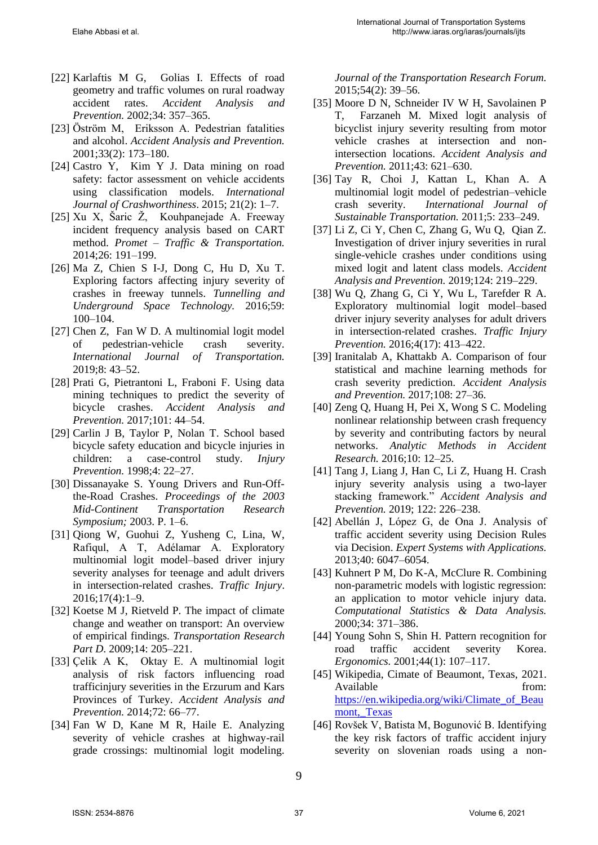- [22] Karlaftis M G, Golias I. Effects of road geometry and traffic volumes on rural roadway accident rates. *Accident Analysis and Prevention.* 2002;34: 357–365.
- [23] Öström M, Eriksson A. Pedestrian fatalities and alcohol. *Accident Analysis and Prevention.*  2001;33(2): 173–180.
- [24] Castro Y, Kim Y J. Data mining on road safety: factor assessment on vehicle accidents using classification models. *International Journal of Crashworthiness*. 2015; 21(2): 1–7.
- [25] Xu X, Šaric Ž, Kouhpanejade A. Freeway incident frequency analysis based on CART method. *Promet – Traffic & Transportation.*  2014;26: 191–199.
- [26] Ma Z, Chien S I-J, Dong C, Hu D, Xu T. Exploring factors affecting injury severity of crashes in freeway tunnels. *Tunnelling and Underground Space Technology.* 2016;59: 100–104.
- [27] Chen Z, Fan W D. A multinomial logit model of pedestrian-vehicle crash severity. *International Journal of Transportation.*   $2019.8: 43 - 52.$
- [28] Prati G, Pietrantoni L, Fraboni F. Using data mining techniques to predict the severity of bicycle crashes. *Accident Analysis and Prevention.* 2017;101: 44–54.
- [29] Carlin J B, Taylor P, Nolan T. School based bicycle safety education and bicycle injuries in children: a case-control study. *Injury Prevention.* 1998;4: 22–27.
- [30] Dissanayake S. Young Drivers and Run-Offthe-Road Crashes. *Proceedings of the 2003 Mid-Continent Transportation Research Symposium;* 2003. P. 1–6.
- [31] Qiong W, Guohui Z, Yusheng C, Lina, W, Rafiqul, A T, Adélamar A. Exploratory multinomial logit model–based driver injury severity analyses for teenage and adult drivers in intersection-related crashes. *Traffic Injury*. 2016;17(4):1–9.
- [32] Koetse M J, Rietveld P. The impact of climate change and weather on transport: An overview of empirical findings. *Transportation Research Part D*. 2009;14: 205–221.
- [33] Çelik A K, Oktay E. A multinomial logit analysis of risk factors influencing road trafficinjury severities in the Erzurum and Kars Provinces of Turkey. *Accident Analysis and Prevention.* 2014;72: 66–77.
- [34] Fan W D, Kane M R, Haile E. Analyzing severity of vehicle crashes at highway-rail grade crossings: multinomial logit modeling.

*Journal of the Transportation Research Forum.* 2015;54(2): 39–56.

- [35] Moore D N, Schneider IV W H, Savolainen P T, Farzaneh M. Mixed logit analysis of bicyclist injury severity resulting from motor vehicle crashes at intersection and nonintersection locations. *Accident Analysis and Prevention.* 2011;43: 621–630.
- [36] Tay R, Choi J, Kattan L, Khan A. A multinomial logit model of pedestrian–vehicle crash severity. *International Journal of Sustainable Transportation.* 2011;5: 233–249.
- [37] Li Z, Ci Y, Chen C, Zhang G, Wu Q, Qian Z. Investigation of driver injury severities in rural single-vehicle crashes under conditions using mixed logit and latent class models. *Accident Analysis and Prevention.* 2019;124: 219–229.
- [38] Wu Q, Zhang G, Ci Y, Wu L, Tarefder R A. Exploratory multinomial logit model–based driver injury severity analyses for adult drivers in intersection-related crashes. *Traffic Injury Prevention.* 2016;4(17): 413–422.
- [39] Iranitalab A, Khattakb A. Comparison of four statistical and machine learning methods for crash severity prediction. *Accident Analysis and Prevention.* 2017;108: 27–36.
- [40] Zeng Q, Huang H, Pei X, Wong S C. Modeling nonlinear relationship between crash frequency by severity and contributing factors by neural networks. *Analytic Methods in Accident Research.* 2016;10: 12–25.
- [41] Tang J, Liang J, Han C, Li Z, Huang H. Crash injury severity analysis using a two-layer stacking framework." *Accident Analysis and Prevention.* 2019; 122: 226–238.
- [42] Abellán J, López G, de Ona J. Analysis of traffic accident severity using Decision Rules via Decision. *Expert Systems with Applications.*  2013;40: 6047–6054.
- [43] Kuhnert P M, Do K-A, McClure R. Combining non-parametric models with logistic regression: an application to motor vehicle injury data. *Computational Statistics & Data Analysis.*  2000;34: 371–386.
- [44] Young Sohn S, Shin H. Pattern recognition for road traffic accident severity Korea. *Ergonomics.* 2001;44(1): 107–117.
- [45] Wikipedia, Cimate of Beaumont, Texas, 2021. Available from: [https://en.wikipedia.org/wiki/Climate\\_of\\_Beau](https://en.wikipedia.org/wiki/Climate_of_Beaumont,_Texas) mont, Texas
- [46] Rovšek V, Batista M, Bogunović B. Identifying the key risk factors of traffic accident injury severity on slovenian roads using a non-